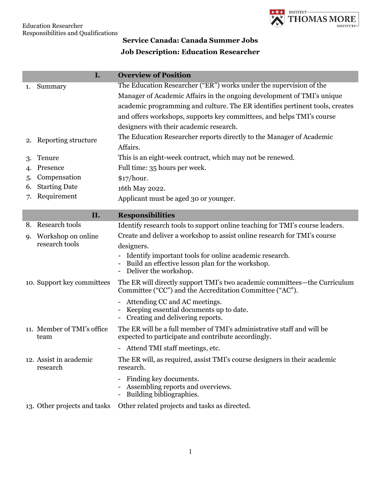

## **Service Canada: Canada Summer Jobs**

## **Job Description: Education Researcher**

|    | I.                                 | <b>Overview of Position</b>                                                                                                                                                                                                                                                                           |
|----|------------------------------------|-------------------------------------------------------------------------------------------------------------------------------------------------------------------------------------------------------------------------------------------------------------------------------------------------------|
| 1. | Summary                            | The Education Researcher ("ER") works under the supervision of the<br>Manager of Academic Affairs in the ongoing development of TMI's unique<br>academic programming and culture. The ER identifies pertinent tools, creates<br>and offers workshops, supports key committees, and helps TMI's course |
|    |                                    | designers with their academic research.                                                                                                                                                                                                                                                               |
|    | 2. Reporting structure             | The Education Researcher reports directly to the Manager of Academic<br>Affairs.                                                                                                                                                                                                                      |
| 3. | Tenure                             | This is an eight-week contract, which may not be renewed.                                                                                                                                                                                                                                             |
| 4. | Presence                           | Full time: 35 hours per week.                                                                                                                                                                                                                                                                         |
| 5. | Compensation                       | \$17/hour.                                                                                                                                                                                                                                                                                            |
| 6. | <b>Starting Date</b>               | 16th May 2022.                                                                                                                                                                                                                                                                                        |
| 7. | Requirement                        | Applicant must be aged 30 or younger.                                                                                                                                                                                                                                                                 |
|    | II.                                | <b>Responsibilities</b>                                                                                                                                                                                                                                                                               |
|    | 8. Research tools                  | Identify research tools to support online teaching for TMI's course leaders.                                                                                                                                                                                                                          |
|    | 9. Workshop on online              | Create and deliver a workshop to assist online research for TMI's course                                                                                                                                                                                                                              |
|    | research tools                     | designers.                                                                                                                                                                                                                                                                                            |
|    |                                    | Identify important tools for online academic research.<br>Build an effective lesson plan for the workshop.<br>Deliver the workshop.                                                                                                                                                                   |
|    | 10. Support key committees         | The ER will directly support TMI's two academic committees—the Curriculum<br>Committee ("CC") and the Accreditation Committee ("AC").                                                                                                                                                                 |
|    |                                    | Attending CC and AC meetings.<br>Keeping essential documents up to date.<br>Creating and delivering reports.                                                                                                                                                                                          |
|    | 11. Member of TMI's office<br>team | The ER will be a full member of TMI's administrative staff and will be<br>expected to participate and contribute accordingly.                                                                                                                                                                         |
|    |                                    | - Attend TMI staff meetings, etc.                                                                                                                                                                                                                                                                     |
|    | 12. Assist in academic<br>research | The ER will, as required, assist TMI's course designers in their academic<br>research.                                                                                                                                                                                                                |
|    |                                    | Finding key documents.<br>$\overline{\phantom{a}}$<br>Assembling reports and overviews.<br>Building bibliographies.                                                                                                                                                                                   |
|    | 13. Other projects and tasks       | Other related projects and tasks as directed.                                                                                                                                                                                                                                                         |